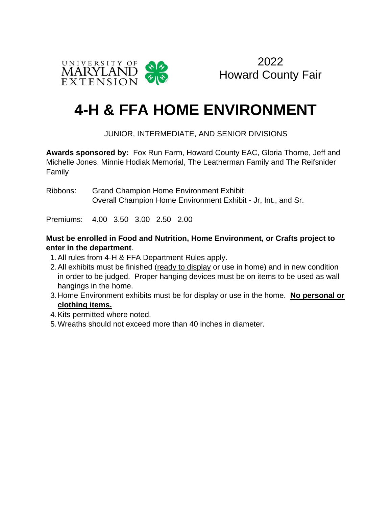

2022 Howard County Fair

# **4-H & FFA HOME ENVIRONMENT**

#### JUNIOR, INTERMEDIATE, AND SENIOR DIVISIONS

**Awards sponsored by:** Fox Run Farm, Howard County EAC, Gloria Thorne, Jeff and Michelle Jones, Minnie Hodiak Memorial, The Leatherman Family and The Reifsnider Family

Ribbons: Grand Champion Home Environment Exhibit Overall Champion Home Environment Exhibit - Jr, Int., and Sr.

Premiums: 4.00 3.50 3.00 2.50 2.00

#### **Must be enrolled in Food and Nutrition, Home Environment, or Crafts project to enter in the department**.

- 1.All rules from 4-H & FFA Department Rules apply.
- 2.All exhibits must be finished (ready to display or use in home) and in new condition in order to be judged. Proper hanging devices must be on items to be used as wall hangings in the home.
- 3.Home Environment exhibits must be for display or use in the home. **No personal or clothing items.**
- 4.Kits permitted where noted.
- 5.Wreaths should not exceed more than 40 inches in diameter.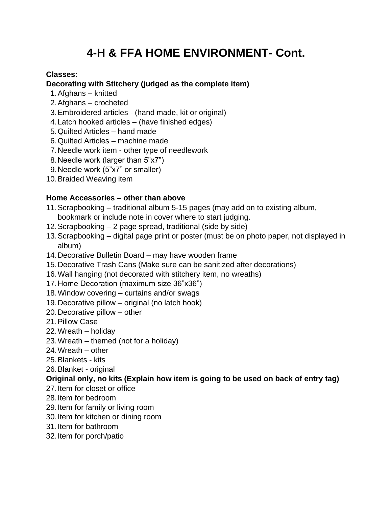## **4-H & FFA HOME ENVIRONMENT- Cont.**

#### **Classes:**

#### **Decorating with Stitchery (judged as the complete item)**

- 1.Afghans knitted
- 2.Afghans crocheted
- 3.Embroidered articles (hand made, kit or original)
- 4.Latch hooked articles (have finished edges)
- 5.Quilted Articles hand made
- 6.Quilted Articles machine made
- 7.Needle work item other type of needlework
- 8.Needle work (larger than 5"x7")
- 9.Needle work (5"x7" or smaller)
- 10.Braided Weaving item

#### **Home Accessories – other than above**

- 11.Scrapbooking traditional album 5-15 pages (may add on to existing album, bookmark or include note in cover where to start judging.
- 12.Scrapbooking 2 page spread, traditional (side by side)
- 13.Scrapbooking digital page print or poster (must be on photo paper, not displayed in album)
- 14.Decorative Bulletin Board may have wooden frame
- 15.Decorative Trash Cans (Make sure can be sanitized after decorations)
- 16.Wall hanging (not decorated with stitchery item, no wreaths)
- 17.Home Decoration (maximum size 36"x36")
- 18.Window covering curtains and/or swags
- 19.Decorative pillow original (no latch hook)
- 20.Decorative pillow other
- 21.Pillow Case
- 22.Wreath holiday
- 23.Wreath themed (not for a holiday)
- 24.Wreath other
- 25.Blankets kits
- 26.Blanket original

#### **Original only, no kits (Explain how item is going to be used on back of entry tag)**

- 27.Item for closet or office
- 28.Item for bedroom
- 29.Item for family or living room
- 30.Item for kitchen or dining room
- 31.Item for bathroom
- 32.Item for porch/patio